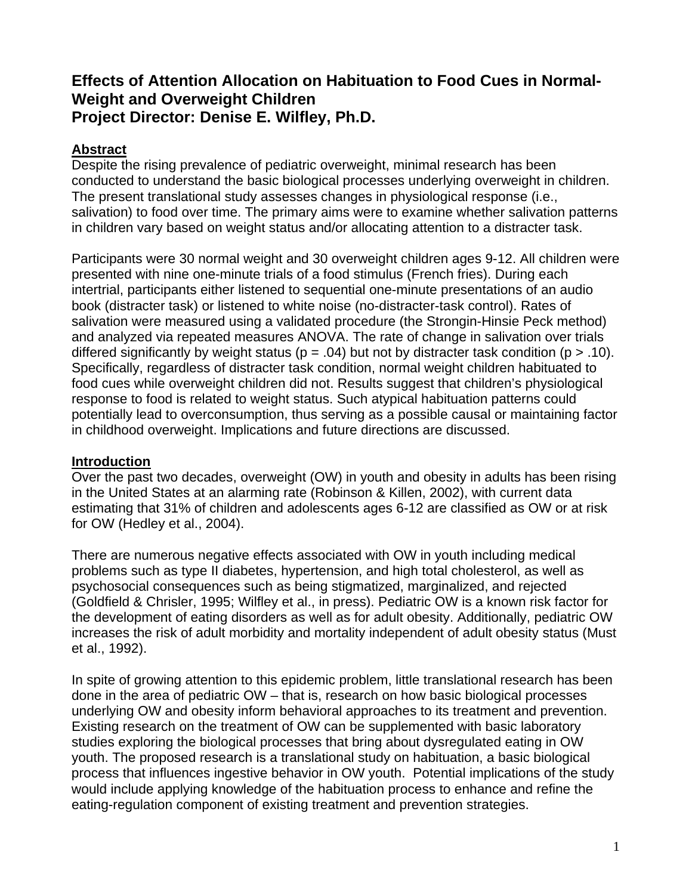# **Effects of Attention Allocation on Habituation to Food Cues in Normal-Weight and Overweight Children Project Director: Denise E. Wilfley, Ph.D.**

# **Abstract**

Despite the rising prevalence of pediatric overweight, minimal research has been conducted to understand the basic biological processes underlying overweight in children. The present translational study assesses changes in physiological response (i.e., salivation) to food over time. The primary aims were to examine whether salivation patterns in children vary based on weight status and/or allocating attention to a distracter task.

Participants were 30 normal weight and 30 overweight children ages 9-12. All children were presented with nine one-minute trials of a food stimulus (French fries). During each intertrial, participants either listened to sequential one-minute presentations of an audio book (distracter task) or listened to white noise (no-distracter-task control). Rates of salivation were measured using a validated procedure (the Strongin-Hinsie Peck method) and analyzed via repeated measures ANOVA. The rate of change in salivation over trials differed significantly by weight status ( $p = .04$ ) but not by distracter task condition ( $p > .10$ ). Specifically, regardless of distracter task condition, normal weight children habituated to food cues while overweight children did not. Results suggest that children's physiological response to food is related to weight status. Such atypical habituation patterns could potentially lead to overconsumption, thus serving as a possible causal or maintaining factor in childhood overweight. Implications and future directions are discussed.

## **Introduction**

Over the past two decades, overweight (OW) in youth and obesity in adults has been rising in the United States at an alarming rate (Robinson & Killen, 2002), with current data estimating that 31% of children and adolescents ages 6-12 are classified as OW or at risk for OW (Hedley et al., 2004).

There are numerous negative effects associated with OW in youth including medical problems such as type II diabetes, hypertension, and high total cholesterol, as well as psychosocial consequences such as being stigmatized, marginalized, and rejected (Goldfield & Chrisler, 1995; Wilfley et al., in press). Pediatric OW is a known risk factor for the development of eating disorders as well as for adult obesity. Additionally, pediatric OW increases the risk of adult morbidity and mortality independent of adult obesity status (Must et al., 1992).

In spite of growing attention to this epidemic problem, little translational research has been done in the area of pediatric OW – that is, research on how basic biological processes underlying OW and obesity inform behavioral approaches to its treatment and prevention. Existing research on the treatment of OW can be supplemented with basic laboratory studies exploring the biological processes that bring about dysregulated eating in OW youth. The proposed research is a translational study on habituation, a basic biological process that influences ingestive behavior in OW youth. Potential implications of the study would include applying knowledge of the habituation process to enhance and refine the eating-regulation component of existing treatment and prevention strategies.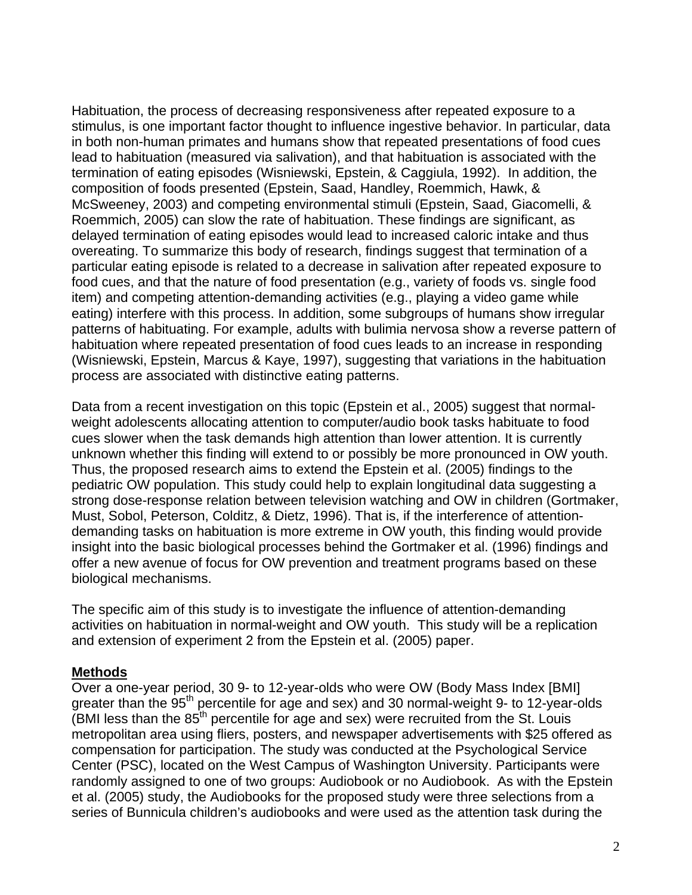Habituation, the process of decreasing responsiveness after repeated exposure to a stimulus, is one important factor thought to influence ingestive behavior. In particular, data in both non-human primates and humans show that repeated presentations of food cues lead to habituation (measured via salivation), and that habituation is associated with the termination of eating episodes (Wisniewski, Epstein, & Caggiula, 1992). In addition, the composition of foods presented (Epstein, Saad, Handley, Roemmich, Hawk, & McSweeney, 2003) and competing environmental stimuli (Epstein, Saad, Giacomelli, & Roemmich, 2005) can slow the rate of habituation. These findings are significant, as delayed termination of eating episodes would lead to increased caloric intake and thus overeating. To summarize this body of research, findings suggest that termination of a particular eating episode is related to a decrease in salivation after repeated exposure to food cues, and that the nature of food presentation (e.g., variety of foods vs. single food item) and competing attention-demanding activities (e.g., playing a video game while eating) interfere with this process. In addition, some subgroups of humans show irregular patterns of habituating. For example, adults with bulimia nervosa show a reverse pattern of habituation where repeated presentation of food cues leads to an increase in responding (Wisniewski, Epstein, Marcus & Kaye, 1997), suggesting that variations in the habituation process are associated with distinctive eating patterns.

Data from a recent investigation on this topic (Epstein et al., 2005) suggest that normalweight adolescents allocating attention to computer/audio book tasks habituate to food cues slower when the task demands high attention than lower attention. It is currently unknown whether this finding will extend to or possibly be more pronounced in OW youth. Thus, the proposed research aims to extend the Epstein et al. (2005) findings to the pediatric OW population. This study could help to explain longitudinal data suggesting a strong dose-response relation between television watching and OW in children (Gortmaker, Must, Sobol, Peterson, Colditz, & Dietz, 1996). That is, if the interference of attentiondemanding tasks on habituation is more extreme in OW youth, this finding would provide insight into the basic biological processes behind the Gortmaker et al. (1996) findings and offer a new avenue of focus for OW prevention and treatment programs based on these biological mechanisms.

The specific aim of this study is to investigate the influence of attention-demanding activities on habituation in normal-weight and OW youth. This study will be a replication and extension of experiment 2 from the Epstein et al. (2005) paper.

#### **Methods**

Over a one-year period, 30 9- to 12-year-olds who were OW (Body Mass Index [BMI] greater than the 95<sup>th</sup> percentile for age and sex) and 30 normal-weight 9- to 12-year-olds (BMI less than the 85<sup>th</sup> percentile for age and sex) were recruited from the St. Louis metropolitan area using fliers, posters, and newspaper advertisements with \$25 offered as compensation for participation. The study was conducted at the Psychological Service Center (PSC), located on the West Campus of Washington University. Participants were randomly assigned to one of two groups: Audiobook or no Audiobook. As with the Epstein et al. (2005) study, the Audiobooks for the proposed study were three selections from a series of Bunnicula children's audiobooks and were used as the attention task during the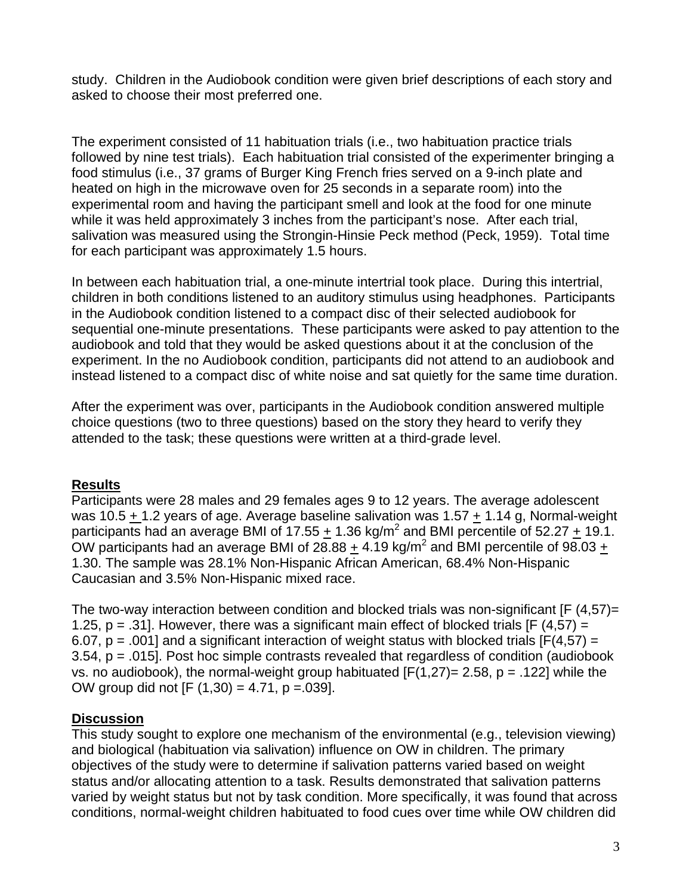study. Children in the Audiobook condition were given brief descriptions of each story and asked to choose their most preferred one.

The experiment consisted of 11 habituation trials (i.e., two habituation practice trials followed by nine test trials). Each habituation trial consisted of the experimenter bringing a food stimulus (i.e., 37 grams of Burger King French fries served on a 9-inch plate and heated on high in the microwave oven for 25 seconds in a separate room) into the experimental room and having the participant smell and look at the food for one minute while it was held approximately 3 inches from the participant's nose. After each trial, salivation was measured using the Strongin-Hinsie Peck method (Peck, 1959). Total time for each participant was approximately 1.5 hours.

In between each habituation trial, a one-minute intertrial took place. During this intertrial, children in both conditions listened to an auditory stimulus using headphones. Participants in the Audiobook condition listened to a compact disc of their selected audiobook for sequential one-minute presentations. These participants were asked to pay attention to the audiobook and told that they would be asked questions about it at the conclusion of the experiment. In the no Audiobook condition, participants did not attend to an audiobook and instead listened to a compact disc of white noise and sat quietly for the same time duration.

After the experiment was over, participants in the Audiobook condition answered multiple choice questions (two to three questions) based on the story they heard to verify they attended to the task; these questions were written at a third-grade level.

## **Results**

Participants were 28 males and 29 females ages 9 to 12 years. The average adolescent was 10.5 + 1.2 years of age. Average baseline salivation was 1.57 + 1.14 g, Normal-weight participants had an average BMI of 17.55  $\pm$  1.36 kg/m<sup>2</sup> and BMI percentile of 52.27  $\pm$  19.1. OW participants had an average BMI of 28.88  $\pm$  4.19 kg/m<sup>2</sup> and BMI percentile of 98.03  $\pm$ 1.30. The sample was 28.1% Non-Hispanic African American, 68.4% Non-Hispanic Caucasian and 3.5% Non-Hispanic mixed race.

The two-way interaction between condition and blocked trials was non-significant [F (4,57)= 1.25,  $p = 0.31$ . However, there was a significant main effect of blocked trials [F (4,57) = 6.07,  $p = .001$  and a significant interaction of weight status with blocked trials [F(4,57) = 3.54, p = .015]. Post hoc simple contrasts revealed that regardless of condition (audiobook vs. no audiobook), the normal-weight group habituated  $[F(1,27) = 2.58, p = .122]$  while the OW group did not  $[F (1,30) = 4.71, p = .039]$ .

## **Discussion**

This study sought to explore one mechanism of the environmental (e.g., television viewing) and biological (habituation via salivation) influence on OW in children. The primary objectives of the study were to determine if salivation patterns varied based on weight status and/or allocating attention to a task. Results demonstrated that salivation patterns varied by weight status but not by task condition. More specifically, it was found that across conditions, normal-weight children habituated to food cues over time while OW children did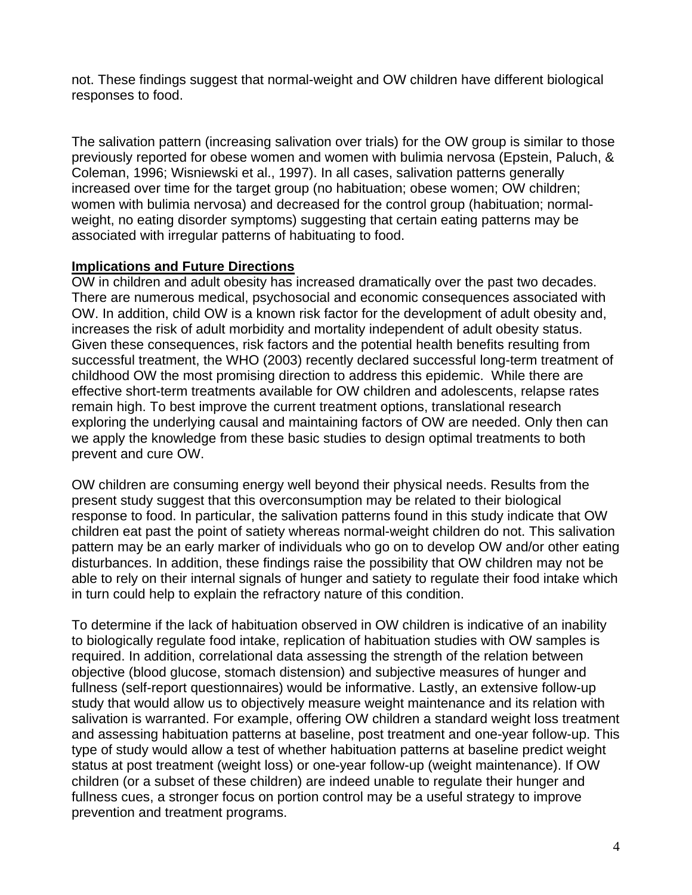not. These findings suggest that normal-weight and OW children have different biological responses to food.

The salivation pattern (increasing salivation over trials) for the OW group is similar to those previously reported for obese women and women with bulimia nervosa (Epstein, Paluch, & Coleman, 1996; Wisniewski et al., 1997). In all cases, salivation patterns generally increased over time for the target group (no habituation; obese women; OW children; women with bulimia nervosa) and decreased for the control group (habituation; normalweight, no eating disorder symptoms) suggesting that certain eating patterns may be associated with irregular patterns of habituating to food.

#### **Implications and Future Directions**

OW in children and adult obesity has increased dramatically over the past two decades. There are numerous medical, psychosocial and economic consequences associated with OW. In addition, child OW is a known risk factor for the development of adult obesity and, increases the risk of adult morbidity and mortality independent of adult obesity status. Given these consequences, risk factors and the potential health benefits resulting from successful treatment, the WHO (2003) recently declared successful long-term treatment of childhood OW the most promising direction to address this epidemic. While there are effective short-term treatments available for OW children and adolescents, relapse rates remain high. To best improve the current treatment options, translational research exploring the underlying causal and maintaining factors of OW are needed. Only then can we apply the knowledge from these basic studies to design optimal treatments to both prevent and cure OW.

OW children are consuming energy well beyond their physical needs. Results from the present study suggest that this overconsumption may be related to their biological response to food. In particular, the salivation patterns found in this study indicate that OW children eat past the point of satiety whereas normal-weight children do not. This salivation pattern may be an early marker of individuals who go on to develop OW and/or other eating disturbances. In addition, these findings raise the possibility that OW children may not be able to rely on their internal signals of hunger and satiety to regulate their food intake which in turn could help to explain the refractory nature of this condition.

To determine if the lack of habituation observed in OW children is indicative of an inability to biologically regulate food intake, replication of habituation studies with OW samples is required. In addition, correlational data assessing the strength of the relation between objective (blood glucose, stomach distension) and subjective measures of hunger and fullness (self-report questionnaires) would be informative. Lastly, an extensive follow-up study that would allow us to objectively measure weight maintenance and its relation with salivation is warranted. For example, offering OW children a standard weight loss treatment and assessing habituation patterns at baseline, post treatment and one-year follow-up. This type of study would allow a test of whether habituation patterns at baseline predict weight status at post treatment (weight loss) or one-year follow-up (weight maintenance). If OW children (or a subset of these children) are indeed unable to regulate their hunger and fullness cues, a stronger focus on portion control may be a useful strategy to improve prevention and treatment programs.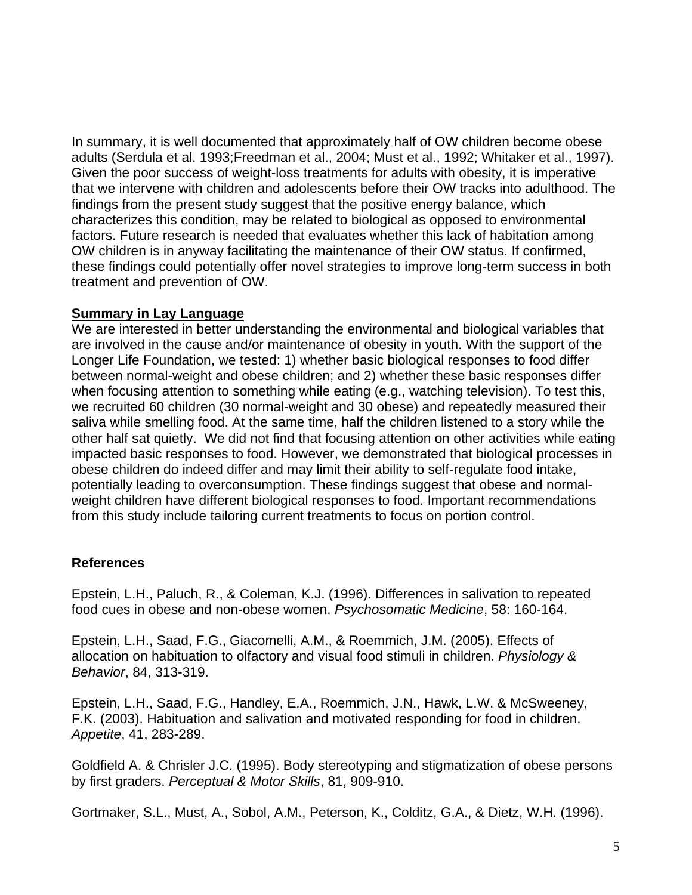In summary, it is well documented that approximately half of OW children become obese adults (Serdula et al. 1993;Freedman et al., 2004; Must et al., 1992; Whitaker et al., 1997). Given the poor success of weight-loss treatments for adults with obesity, it is imperative that we intervene with children and adolescents before their OW tracks into adulthood. The findings from the present study suggest that the positive energy balance, which characterizes this condition, may be related to biological as opposed to environmental factors. Future research is needed that evaluates whether this lack of habitation among OW children is in anyway facilitating the maintenance of their OW status. If confirmed, these findings could potentially offer novel strategies to improve long-term success in both treatment and prevention of OW.

#### **Summary in Lay Language**

We are interested in better understanding the environmental and biological variables that are involved in the cause and/or maintenance of obesity in youth. With the support of the Longer Life Foundation, we tested: 1) whether basic biological responses to food differ between normal-weight and obese children; and 2) whether these basic responses differ when focusing attention to something while eating (e.g., watching television). To test this, we recruited 60 children (30 normal-weight and 30 obese) and repeatedly measured their saliva while smelling food. At the same time, half the children listened to a story while the other half sat quietly. We did not find that focusing attention on other activities while eating impacted basic responses to food. However, we demonstrated that biological processes in obese children do indeed differ and may limit their ability to self-regulate food intake, potentially leading to overconsumption. These findings suggest that obese and normalweight children have different biological responses to food. Important recommendations from this study include tailoring current treatments to focus on portion control.

## **References**

Epstein, L.H., Paluch, R., & Coleman, K.J. (1996). Differences in salivation to repeated food cues in obese and non-obese women. *Psychosomatic Medicine*, 58: 160-164.

Epstein, L.H., Saad, F.G., Giacomelli, A.M., & Roemmich, J.M. (2005). Effects of allocation on habituation to olfactory and visual food stimuli in children. *Physiology & Behavior*, 84, 313-319.

Epstein, L.H., Saad, F.G., Handley, E.A., Roemmich, J.N., Hawk, L.W. & McSweeney, F.K. (2003). Habituation and salivation and motivated responding for food in children. *Appetite*, 41, 283-289.

Goldfield A. & Chrisler J.C. (1995). Body stereotyping and stigmatization of obese persons by first graders. *Perceptual & Motor Skills*, 81, 909-910.

Gortmaker, S.L., Must, A., Sobol, A.M., Peterson, K., Colditz, G.A., & Dietz, W.H. (1996).